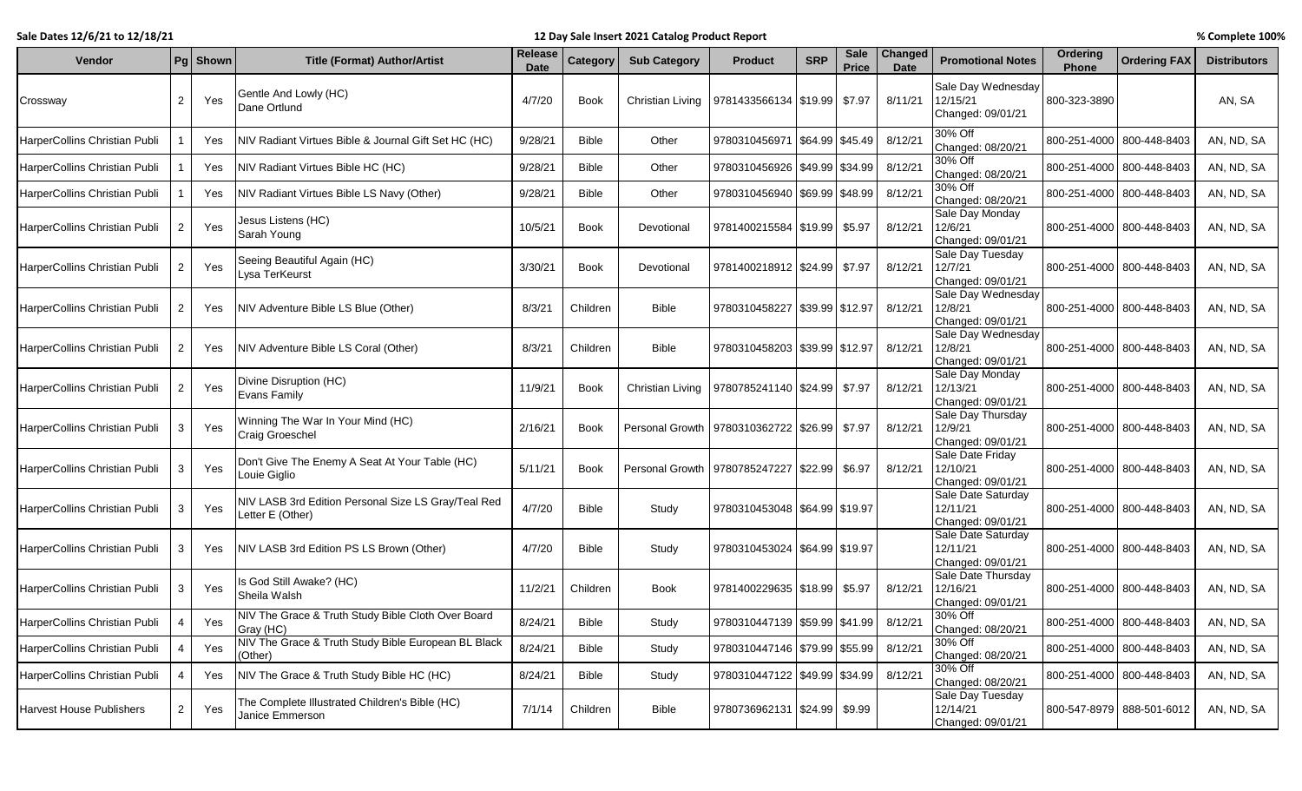## **Sale Dates 12/6/21 to 12/18/21 12 Day Sale Insert 2021 Catalog Product Report % Complete 100%**

| Vendor                          |                | Pg Shown | <b>Title (Format) Author/Artist</b>                                     | Release<br><b>Date</b> | Category     | <b>Sub Category</b>     | <b>Product</b>                                     | <b>SRP</b>      | <b>Sale</b><br><b>Price</b> | Changed<br><b>Date</b> | <b>Promotional Notes</b>                            | Ordering<br>Phone | <b>Ordering FAX</b>       | <b>Distributors</b> |
|---------------------------------|----------------|----------|-------------------------------------------------------------------------|------------------------|--------------|-------------------------|----------------------------------------------------|-----------------|-----------------------------|------------------------|-----------------------------------------------------|-------------------|---------------------------|---------------------|
| Crossway                        | $\overline{2}$ | Yes      | Gentle And Lowly (HC)<br>Dane Ortlund                                   | 4/7/20                 | Book         | Christian Living        | 9781433566134 \$19.99 \$7.97                       |                 |                             | 8/11/21                | Sale Day Wednesday<br>12/15/21<br>Changed: 09/01/21 | 800-323-3890      |                           | AN, SA              |
| HarperCollins Christian Publi   |                | Yes      | NIV Radiant Virtues Bible & Journal Gift Set HC (HC)                    | 9/28/21                | <b>Bible</b> | Other                   | 9780310456971                                      | \$64.99 \$45.49 |                             | 8/12/21                | 30% Off<br>Changed: 08/20/21                        | 800-251-4000      | 800-448-8403              | AN, ND, SA          |
| HarperCollins Christian Publi   |                | Yes      | NIV Radiant Virtues Bible HC (HC)                                       | 9/28/21                | <b>Bible</b> | Other                   | 9780310456926   \$49.99   \$34.99                  |                 |                             | 8/12/21                | 30% Off<br>Changed: 08/20/21                        |                   | 800-251-4000 800-448-8403 | AN, ND, SA          |
| HarperCollins Christian Publi   |                | Yes      | NIV Radiant Virtues Bible LS Navy (Other)                               | 9/28/21                | <b>Bible</b> | Other                   | 9780310456940 \$69.99 \$48.99                      |                 |                             | 8/12/21                | 30% Off<br>Changed: 08/20/21                        | 800-251-4000      | 800-448-8403              | AN, ND, SA          |
| HarperCollins Christian Publi   | 2              | Yes      | Jesus Listens (HC)<br>Sarah Young                                       | 10/5/21                | Book         | Devotional              | 9781400215584 \$19.99 \$5.97                       |                 |                             | 8/12/21                | Sale Day Monday<br>12/6/21<br>Changed: 09/01/21     |                   | 800-251-4000 800-448-8403 | AN, ND, SA          |
| HarperCollins Christian Publi   | 2              | Yes      | Seeing Beautiful Again (HC)<br>Lysa TerKeurst                           | 3/30/21                | <b>Book</b>  | Devotional              | 9781400218912 \$24.99 \$7.97                       |                 |                             | 8/12/21                | Sale Day Tuesday<br>12/7/21<br>Changed: 09/01/21    |                   | 800-251-4000 800-448-8403 | AN, ND, SA          |
| HarperCollins Christian Publi   | $\overline{2}$ | Yes      | NIV Adventure Bible LS Blue (Other)                                     | 8/3/21                 | Children     | <b>Bible</b>            | 9780310458227 \$39.99 \$12.97                      |                 |                             | 8/12/21                | Sale Day Wednesday<br>12/8/21<br>Changed: 09/01/21  |                   | 800-251-4000 800-448-8403 | AN, ND, SA          |
| HarperCollins Christian Publi   | $\mathbf{2}$   | Yes      | NIV Adventure Bible LS Coral (Other)                                    | 8/3/21                 | Children     | <b>Bible</b>            | 9780310458203   \$39.99   \$12.97                  |                 |                             | 8/12/21                | Sale Day Wednesday<br>12/8/21<br>Changed: 09/01/21  |                   | 800-251-4000 800-448-8403 | AN, ND, SA          |
| HarperCollins Christian Publi   | $\overline{2}$ | Yes      | Divine Disruption (HC)<br>Evans Family                                  | 11/9/21                | Book         | <b>Christian Living</b> | 9780785241140   \$24.99   \$7.97                   |                 |                             | 8/12/21                | Sale Day Monday<br>12/13/21<br>Changed: 09/01/21    |                   | 800-251-4000 800-448-8403 | AN, ND, SA          |
| HarperCollins Christian Publi   | 3              | Yes      | Winning The War In Your Mind (HC)<br>Craig Groeschel                    | 2/16/21                | Book         |                         | Personal Growth   9780310362722   \$26.99   \$7.97 |                 |                             | 8/12/21                | Sale Day Thursday<br>12/9/21<br>Changed: 09/01/21   |                   | 800-251-4000 800-448-8403 | AN, ND, SA          |
| HarperCollins Christian Publi   | 3              | Yes      | Don't Give The Enemy A Seat At Your Table (HC)<br>Louie Giglio          | 5/11/21                | <b>Book</b>  |                         | Personal Growth   9780785247227   \$22.99   \$6.97 |                 |                             | 8/12/21                | Sale Date Friday<br>12/10/21<br>Changed: 09/01/21   |                   | 800-251-4000 800-448-8403 | AN, ND, SA          |
| HarperCollins Christian Publi   | 3              | Yes      | NIV LASB 3rd Edition Personal Size LS Gray/Teal Red<br>Letter E (Other) | 4/7/20                 | <b>Bible</b> | Study                   | 9780310453048 \$64.99 \$19.97                      |                 |                             |                        | Sale Date Saturday<br>12/11/21<br>Changed: 09/01/21 |                   | 800-251-4000 800-448-8403 | AN, ND, SA          |
| HarperCollins Christian Publi   | 3              | Yes      | NIV LASB 3rd Edition PS LS Brown (Other)                                | 4/7/20                 | <b>Bible</b> | Study                   | 9780310453024 \$64.99 \$19.97                      |                 |                             |                        | Sale Date Saturday<br>12/11/21<br>Changed: 09/01/21 |                   | 800-251-4000 800-448-8403 | AN, ND, SA          |
| HarperCollins Christian Publi   | 3              | Yes      | s God Still Awake? (HC)<br>Sheila Walsh                                 | 11/2/21                | Children     | Book                    | 9781400229635 \$18.99                              |                 | \$5.97                      | 8/12/21                | Sale Date Thursday<br>12/16/21<br>Changed: 09/01/21 |                   | 800-251-4000 800-448-8403 | AN, ND, SA          |
| HarperCollins Christian Publi   | 4              | Yes      | NIV The Grace & Truth Study Bible Cloth Over Board<br>Gray (HC)         | 8/24/21                | <b>Bible</b> | Study                   | 9780310447139 \$59.99 \$41.99                      |                 |                             | 8/12/21                | 30% Off<br>Changed: 08/20/21                        |                   | 800-251-4000 800-448-8403 | AN, ND, SA          |
| HarperCollins Christian Publi   | 4              | Yes      | NIV The Grace & Truth Study Bible European BL Black<br>(Other)          | 8/24/21                | <b>Bible</b> | Study                   | 9780310447146 \$79.99 \$55.99                      |                 |                             | 8/12/21                | 30% Off<br>Changed: 08/20/21                        |                   | 800-251-4000 800-448-8403 | AN, ND, SA          |
| HarperCollins Christian Publi   | 4              | Yes      | NIV The Grace & Truth Study Bible HC (HC)                               | 8/24/21                | Bible        | Study                   | 9780310447122 \$49.99 \$34.99                      |                 |                             | 8/12/21                | 30% Off<br>Changed: 08/20/21                        |                   | 800-251-4000 800-448-8403 | AN, ND, SA          |
| <b>Harvest House Publishers</b> | $\overline{2}$ | Yes      | The Complete Illustrated Children's Bible (HC)<br>Janice Emmerson       | 7/1/14                 | Children     | Bible                   | 9780736962131 \$24.99 \$9.99                       |                 |                             |                        | Sale Day Tuesday<br>12/14/21<br>Changed: 09/01/21   |                   | 800-547-8979 888-501-6012 | AN, ND, SA          |